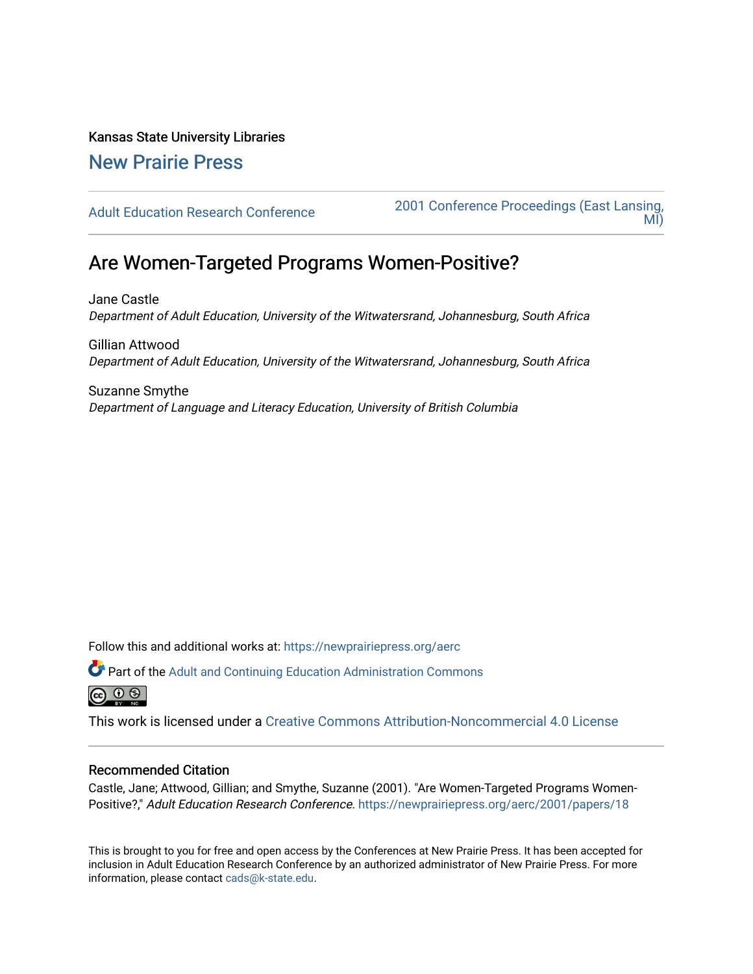Kansas State University Libraries [New Prairie Press](https://newprairiepress.org/) 

[Adult Education Research Conference](https://newprairiepress.org/aerc) [2001 Conference Proceedings \(East Lansing,](https://newprairiepress.org/aerc/2001)  [MI\)](https://newprairiepress.org/aerc/2001) 

# Are Women-Targeted Programs Women-Positive?

Jane Castle Department of Adult Education, University of the Witwatersrand, Johannesburg, South Africa

Gillian Attwood Department of Adult Education, University of the Witwatersrand, Johannesburg, South Africa

Suzanne Smythe Department of Language and Literacy Education, University of British Columbia

Follow this and additional works at: [https://newprairiepress.org/aerc](https://newprairiepress.org/aerc?utm_source=newprairiepress.org%2Faerc%2F2001%2Fpapers%2F18&utm_medium=PDF&utm_campaign=PDFCoverPages)

Part of the [Adult and Continuing Education Administration Commons](http://network.bepress.com/hgg/discipline/789?utm_source=newprairiepress.org%2Faerc%2F2001%2Fpapers%2F18&utm_medium=PDF&utm_campaign=PDFCoverPages) **@ 0 ®** 

This work is licensed under a [Creative Commons Attribution-Noncommercial 4.0 License](https://creativecommons.org/licenses/by-nc/4.0/)

### Recommended Citation

Castle, Jane; Attwood, Gillian; and Smythe, Suzanne (2001). "Are Women-Targeted Programs Women-Positive?," Adult Education Research Conference. https://newprairiepress.org/aerc/2001/papers/18

This is brought to you for free and open access by the Conferences at New Prairie Press. It has been accepted for inclusion in Adult Education Research Conference by an authorized administrator of New Prairie Press. For more information, please contact [cads@k-state.edu](mailto:cads@k-state.edu).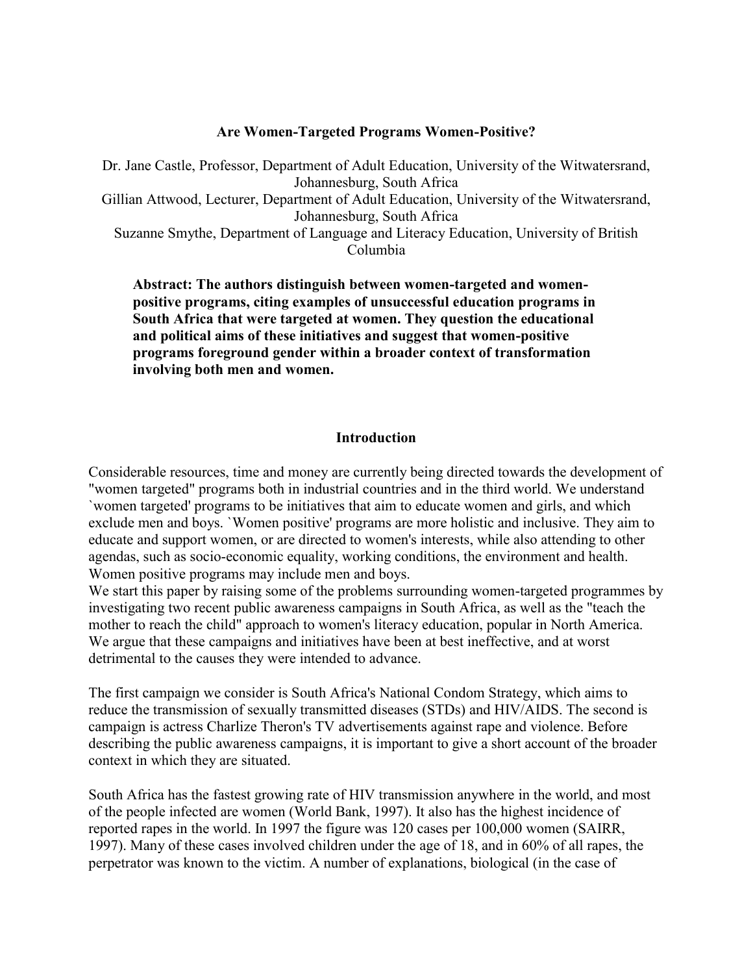## **Are Women-Targeted Programs Women-Positive?**

Dr. Jane Castle, Professor, Department of Adult Education, University of the Witwatersrand, Johannesburg, South Africa Gillian Attwood, Lecturer, Department of Adult Education, University of the Witwatersrand, Johannesburg, South Africa Suzanne Smythe, Department of Language and Literacy Education, University of British Columbia

**Abstract: The authors distinguish between women-targeted and womenpositive programs, citing examples of unsuccessful education programs in South Africa that were targeted at women. They question the educational and political aims of these initiatives and suggest that women-positive programs foreground gender within a broader context of transformation involving both men and women.**

## **Introduction**

Considerable resources, time and money are currently being directed towards the development of "women targeted" programs both in industrial countries and in the third world. We understand `women targeted' programs to be initiatives that aim to educate women and girls, and which exclude men and boys. `Women positive' programs are more holistic and inclusive. They aim to educate and support women, or are directed to women's interests, while also attending to other agendas, such as socio-economic equality, working conditions, the environment and health. Women positive programs may include men and boys.

We start this paper by raising some of the problems surrounding women-targeted programmes by investigating two recent public awareness campaigns in South Africa, as well as the "teach the mother to reach the child" approach to women's literacy education, popular in North America. We argue that these campaigns and initiatives have been at best ineffective, and at worst detrimental to the causes they were intended to advance.

The first campaign we consider is South Africa's National Condom Strategy, which aims to reduce the transmission of sexually transmitted diseases (STDs) and HIV/AIDS. The second is campaign is actress Charlize Theron's TV advertisements against rape and violence. Before describing the public awareness campaigns, it is important to give a short account of the broader context in which they are situated.

South Africa has the fastest growing rate of HIV transmission anywhere in the world, and most of the people infected are women (World Bank, 1997). It also has the highest incidence of reported rapes in the world. In 1997 the figure was 120 cases per 100,000 women (SAIRR, 1997). Many of these cases involved children under the age of 18, and in 60% of all rapes, the perpetrator was known to the victim. A number of explanations, biological (in the case of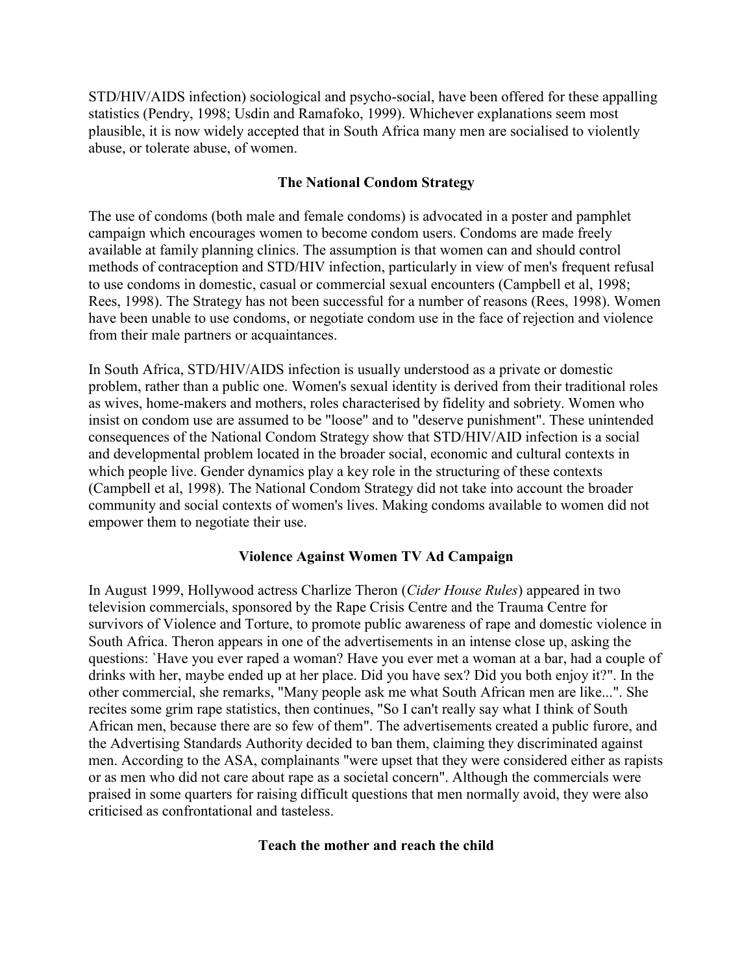STD/HIV/AIDS infection) sociological and psycho-social, have been offered for these appalling statistics (Pendry, 1998; Usdin and Ramafoko, 1999). Whichever explanations seem most plausible, it is now widely accepted that in South Africa many men are socialised to violently abuse, or tolerate abuse, of women.

# **The National Condom Strategy**

The use of condoms (both male and female condoms) is advocated in a poster and pamphlet campaign which encourages women to become condom users. Condoms are made freely available at family planning clinics. The assumption is that women can and should control methods of contraception and STD/HIV infection, particularly in view of men's frequent refusal to use condoms in domestic, casual or commercial sexual encounters (Campbell et al, 1998; Rees, 1998). The Strategy has not been successful for a number of reasons (Rees, 1998). Women have been unable to use condoms, or negotiate condom use in the face of rejection and violence from their male partners or acquaintances.

In South Africa, STD/HIV/AIDS infection is usually understood as a private or domestic problem, rather than a public one. Women's sexual identity is derived from their traditional roles as wives, home-makers and mothers, roles characterised by fidelity and sobriety. Women who insist on condom use are assumed to be "loose" and to "deserve punishment". These unintended consequences of the National Condom Strategy show that STD/HIV/AID infection is a social and developmental problem located in the broader social, economic and cultural contexts in which people live. Gender dynamics play a key role in the structuring of these contexts (Campbell et al, 1998). The National Condom Strategy did not take into account the broader community and social contexts of women's lives. Making condoms available to women did not empower them to negotiate their use.

## **Violence Against Women TV Ad Campaign**

In August 1999, Hollywood actress Charlize Theron (*Cider House Rules*) appeared in two television commercials, sponsored by the Rape Crisis Centre and the Trauma Centre for survivors of Violence and Torture, to promote public awareness of rape and domestic violence in South Africa. Theron appears in one of the advertisements in an intense close up, asking the questions: `Have you ever raped a woman? Have you ever met a woman at a bar, had a couple of drinks with her, maybe ended up at her place. Did you have sex? Did you both enjoy it?". In the other commercial, she remarks, "Many people ask me what South African men are like...". She recites some grim rape statistics, then continues, "So I can't really say what I think of South African men, because there are so few of them". The advertisements created a public furore, and the Advertising Standards Authority decided to ban them, claiming they discriminated against men. According to the ASA, complainants "were upset that they were considered either as rapists or as men who did not care about rape as a societal concern". Although the commercials were praised in some quarters for raising difficult questions that men normally avoid, they were also criticised as confrontational and tasteless.

# **Teach the mother and reach the child**